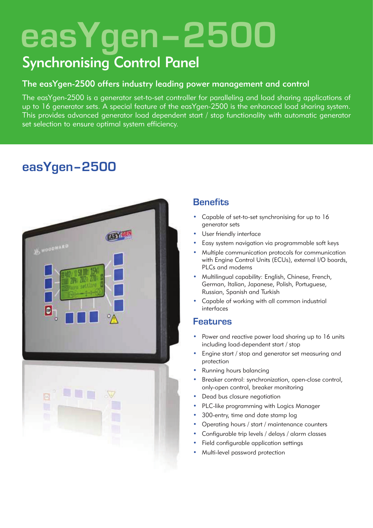# **easYgen–2500**

# Synchronising Control Panel

## The easYgen-2500 offers industry leading power management and control

The easYgen-2500 is a generator set-to-set controller for paralleling and load sharing applications of up to 16 generator sets. A special feature of the easYgen-2500 is the enhanced load sharing system. This provides advanced generator load dependent start / stop functionality with automatic generator set selection to ensure optimal system efficiency.

# **easYgen–2500**

| EASY CEN<br>AS WOODWARD<br>E<br>$\overline{\mathbf{B}}_1$<br>$\sqrt{2}$ |  |
|-------------------------------------------------------------------------|--|
| P<br><b>LEE</b><br>J<br>B                                               |  |

# **Benefits**

- Capable of set-to-set synchronising for up to 16 generator sets
- User friendly interface
- Easy system navigation via programmable soft keys
- Multiple communication protocols for communication with Engine Control Units (ECUs), external I/O boards, PLCs and modems
- Multilingual capability: English, Chinese, French, German, Italian, Japanese, Polish, Portuguese, Russian, Spanish and Turkish
- Capable of working with all common industrial interfaces

### **Features**

- Power and reactive power load sharing up to 16 units including load-dependent start / stop
- Engine start / stop and generator set measuring and protection
- Running hours balancing
- Breaker control: synchronization, open-close control, only-open control, breaker monitoring
- Dead bus closure negotiation
- PLC-like programming with Logics Manager
- 300-entry, time and date stamp log
- Operating hours / start / maintenance counters
- Configurable trip levels / delays / alarm classes
- Field configurable application settings
- Multi-level password protection